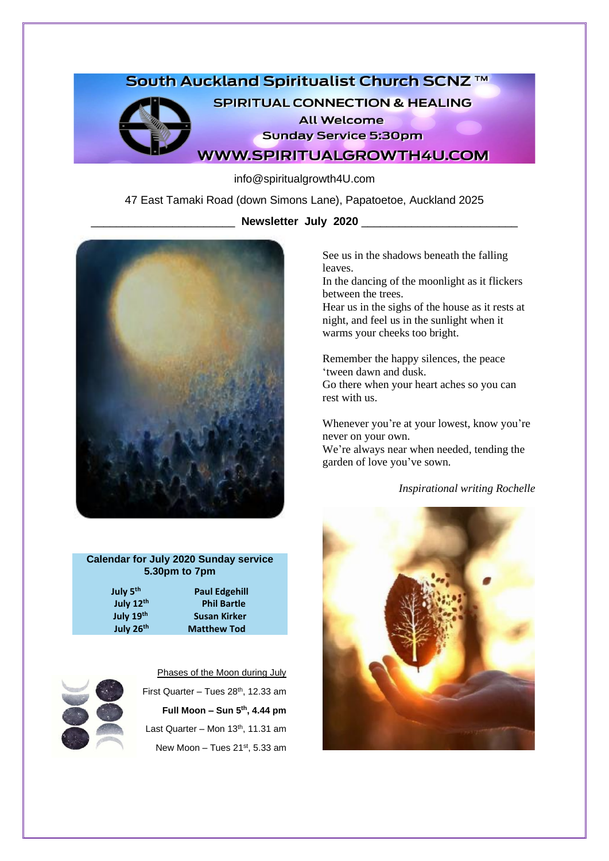# South Auckland Spiritualist Church SCNZ ™



**SPIRITUAL CONNECTION & HEALING All Welcome** 

**Sunday Service 5:30pm** 

**WWW.SPIRITUALGROWTH4U.COM** 

info@spiritualgrowth4U.com

47 East Tamaki Road (down Simons Lane), Papatoetoe, Auckland 2025

\_\_\_\_\_\_\_\_\_\_\_\_\_\_\_\_\_\_\_\_\_\_\_ **Newsletter July 2020** \_\_\_\_\_\_\_\_\_\_\_\_\_\_\_\_\_\_\_\_\_\_\_\_\_



### **Calendar for July 2020 Sunday service 5.30pm to 7pm**

| July 5 <sup>th</sup>  | <b>Paul Edgehill</b> |
|-----------------------|----------------------|
| July 12th             | <b>Phil Bartle</b>   |
| July 19th             | <b>Susan Kirker</b>  |
| July 26 <sup>th</sup> | <b>Matthew Tod</b>   |



Phases of the Moon during July

First Quarter - Tues 28<sup>th</sup>, 12.33 am **Full Moon – Sun 5th, 4.44 pm** Last Quarter – Mon  $13<sup>th</sup>$ , 11.31 am New Moon – Tues  $21<sup>st</sup>$ , 5.33 am See us in the shadows beneath the falling leaves.

In the dancing of the moonlight as it flickers between the trees.

Hear us in the sighs of the house as it rests at night, and feel us in the sunlight when it warms your cheeks too bright.

Remember the happy silences, the peace 'tween dawn and dusk.

Go there when your heart aches so you can rest with us.

Whenever you're at your lowest, know you're never on your own. We're always near when needed, tending the garden of love you've sown.

*Inspirational writing Rochelle*

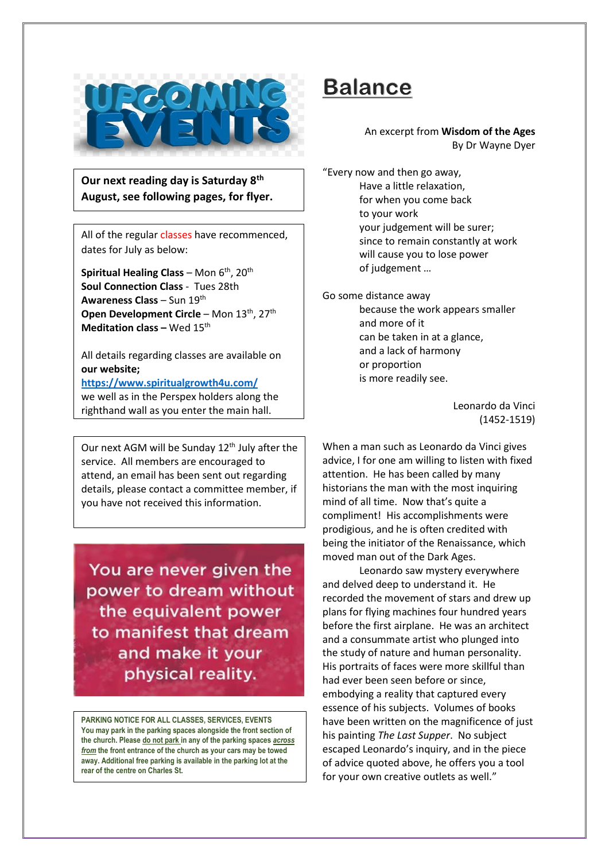

**Our next reading day is Saturday 8th August, see following pages, for flyer.**

All of the regular classes have recommenced, dates for July as below:

**Spiritual Healing Class** – Mon 6<sup>th</sup>, 20<sup>th</sup> **Soul Connection Class** - Tues 28th **Awareness Class** – Sun 19th **Open Development Circle** – Mon 13<sup>th</sup>, 27<sup>th</sup> **Meditation class – Wed 15<sup>th</sup>** 

All details regarding classes are available on **our website;**

**<https://www.spiritualgrowth4u.com/>** we well as in the Perspex holders along the righthand wall as you enter the main hall.

Our next AGM will be Sunday  $12<sup>th</sup>$  July after the service. All members are encouraged to attend, an email has been sent out regarding details, please contact a committee member, if you have not received this information.

You are never given the power to dream without the equivalent power to manifest that dream and make it your physical reality.

**PARKING NOTICE FOR ALL CLASSES, SERVICES, EVENTS You may park in the parking spaces alongside the front section of the church. Please do not park in any of the parking spaces** *across from* **the front entrance of the church as your cars may be towed away. Additional free parking is available in the parking lot at the rear of the centre on Charles St.**

# **Balance**

### An excerpt from **Wisdom of the Ages** By Dr Wayne Dyer

"Every now and then go away, Have a little relaxation, for when you come back to your work your judgement will be surer; since to remain constantly at work will cause you to lose power of judgement …

Go some distance away because the work appears smaller and more of it can be taken in at a glance, and a lack of harmony or proportion is more readily see.

> Leonardo da Vinci (1452-1519)

When a man such as Leonardo da Vinci gives advice, I for one am willing to listen with fixed attention. He has been called by many historians the man with the most inquiring mind of all time. Now that's quite a compliment! His accomplishments were prodigious, and he is often credited with being the initiator of the Renaissance, which moved man out of the Dark Ages.

Leonardo saw mystery everywhere and delved deep to understand it. He recorded the movement of stars and drew up plans for flying machines four hundred years before the first airplane. He was an architect and a consummate artist who plunged into the study of nature and human personality. His portraits of faces were more skillful than had ever been seen before or since, embodying a reality that captured every essence of his subjects. Volumes of books have been written on the magnificence of just his painting *The Last Supper*. No subject escaped Leonardo's inquiry, and in the piece of advice quoted above, he offers you a tool for your own creative outlets as well."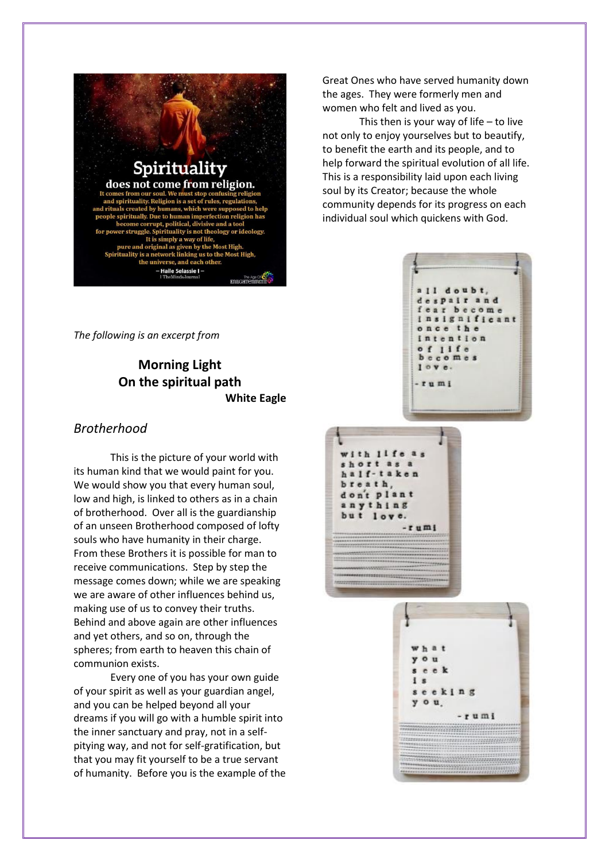

Great Ones who have served humanity down the ages. They were formerly men and women who felt and lived as you.

This then is your way of life  $-$  to live not only to enjoy yourselves but to beautify, to benefit the earth and its people, and to help forward the spiritual evolution of all life. This is a responsibility laid upon each living soul by its Creator; because the whole community depends for its progress on each individual soul which quickens with God.

*The following is an excerpt from* 

## **Morning Light On the spiritual path White Eagle**

### *Brotherhood*

This is the picture of your world with its human kind that we would paint for you. We would show you that every human soul, low and high, is linked to others as in a chain of brotherhood. Over all is the guardianship of an unseen Brotherhood composed of lofty souls who have humanity in their charge. From these Brothers it is possible for man to receive communications. Step by step the message comes down; while we are speaking we are aware of other influences behind us, making use of us to convey their truths. Behind and above again are other influences and yet others, and so on, through the spheres; from earth to heaven this chain of communion exists.

Every one of you has your own guide of your spirit as well as your guardian angel, and you can be helped beyond all your dreams if you will go with a humble spirit into the inner sanctuary and pray, not in a selfpitying way, and not for self-gratification, but that you may fit yourself to be a true servant of humanity. Before you is the example of the





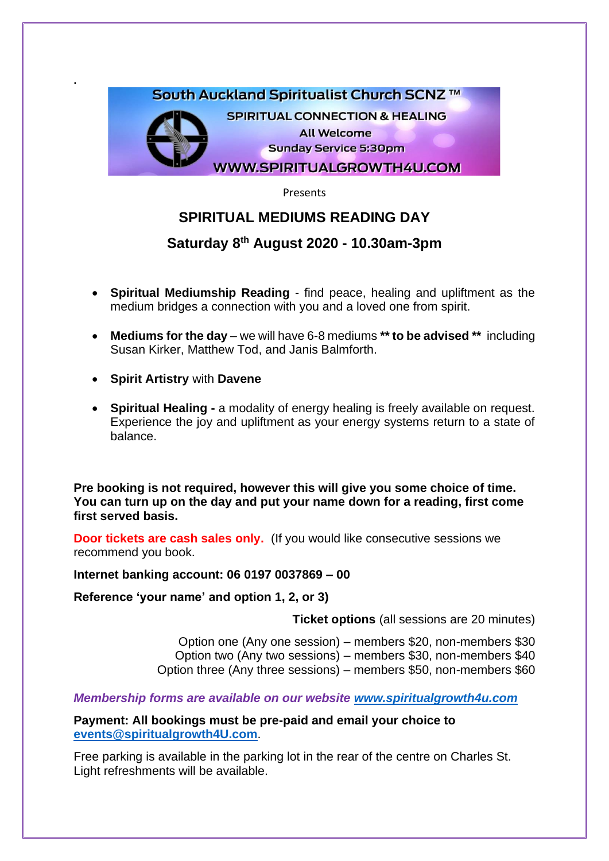

Presents

# **SPIRITUAL MEDIUMS READING DAY**

# **Saturday 8 th August 2020 - 10.30am-3pm**

- **Spiritual Mediumship Reading** find peace, healing and upliftment as the medium bridges a connection with you and a loved one from spirit.
- **Mediums for the day** we will have 6-8 mediums **\*\* to be advised \*\*** including Susan Kirker, Matthew Tod, and Janis Balmforth.
- **Spirit Artistry** with **Davene**

**.**

• **Spiritual Healing -** a modality of energy healing is freely available on request. Experience the joy and upliftment as your energy systems return to a state of balance.

**Pre booking is not required, however this will give you some choice of time. You can turn up on the day and put your name down for a reading, first come first served basis.** 

**Door tickets are cash sales only.** (If you would like consecutive sessions we recommend you book.

**Internet banking account: 06 0197 0037869 – 00** 

**Reference 'your name' and option 1, 2, or 3)**

**Ticket options** (all sessions are 20 minutes)

Option one (Any one session) – members \$20, non-members \$30 Option two (Any two sessions) – members \$30, non-members \$40 Option three (Any three sessions) – members \$50, non-members \$60

*Membership forms are available on our website [www.spiritualgrowth4u.com](http://www.spiritualgrowth4u.com/)*

**Payment: All bookings must be pre-paid and email your choice to [events@spiritualgrowth4U.com](mailto:events@spiritualgrowth4U.com)**.

Free parking is available in the parking lot in the rear of the centre on Charles St. Light refreshments will be available.